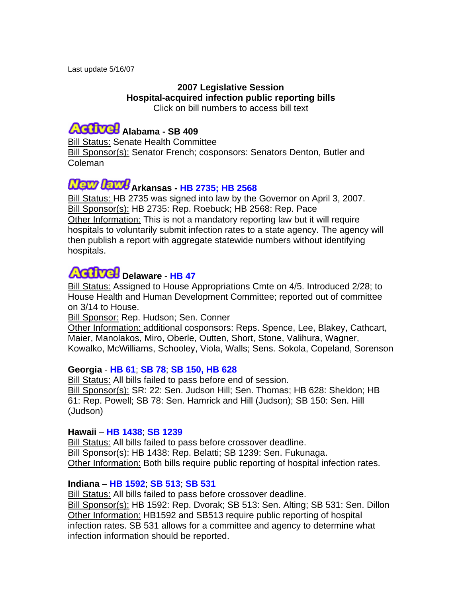#### **2007 Legislative Session Hospital-acquired infection public reporting bills** Click on bill numbers to access bill text

### **Alabama - SB 409**

Bill Status: Senate Health Committee Bill Sponsor(s): Senator French; cosponsors: Senators Denton, Butler and Coleman

## **Arkansas - [HB 2735;](http://www.arkleg.state.ar.us/ftproot/bills/2007/public/HB2735.pdf) [HB 2568](http://www.arkleg.state.ar.us/ftproot/bills/2007/public/HB2568.pdf)**

Bill Status: HB 2735 was signed into law by the Governor on April 3, 2007. Bill Sponsor(s): HB 2735: Rep. Roebuck; HB 2568: Rep. Pace Other Information: This is not a mandatory reporting law but it will require hospitals to voluntarily submit infection rates to a state agency. The agency will then publish a report with aggregate statewide numbers without identifying hospitals.

### **Delaware** - **[HB 47](http://www.legis.state.de.us/LIS/lis144.nsf/vwLegislation/HB+47/$file/legis.html?open)**

Bill Status: Assigned to House Appropriations Cmte on 4/5. Introduced 2/28; to House Health and Human Development Committee; reported out of committee on 3/14 to House.

**Bill Sponsor: Rep. Hudson; Sen. Conner** 

Other Information: additional cosponsors: Reps. Spence, Lee, Blakey, Cathcart, Maier, Manolakos, Miro, Oberle, Outten, Short, Stone, Valihura, Wagner, Kowalko, McWilliams, Schooley, Viola, Walls; Sens. Sokola, Copeland, Sorenson

#### **Georgia** - **[HB 61](http://www.legis.ga.gov/legis/2007_08/fulltext/hb61.htm)**; **[SB 78](http://www.legis.ga.gov/legis/2007_08/fulltext/sb78.htm%3c/a%3e)**; **[SB 150, HB 628](http://www.legis.ga.gov/legis/2007_08/fulltext/sb150.htm)**

Bill Status: All bills failed to pass before end of session. Bill Sponsor(s): SR: 22: Sen. Judson Hill; Sen. Thomas; HB 628: Sheldon; HB 61: Rep. Powell; SB 78: Sen. Hamrick and Hill (Judson); SB 150: Sen. Hill (Judson)

#### **Hawaii** – **[HB 1438](http://www.capitol.hawaii.gov/sessioncurrent/Bills/HB1438_.htm)**; **[SB 1239](http://www.capitol.hawaii.gov/sessioncurrent/Bills/SB1239_.htm)**

Bill Status: All bills failed to pass before crossover deadline. Bill Sponsor(s): HB 1438: Rep. Belatti; SB 1239: Sen. Fukunaga. Other Information: Both bills require public reporting of hospital infection rates.

#### **Indiana** – **[HB 1592](http://www.in.gov/legislative/bills/2007/IN/IN1592.1.html)**; **[SB 513](http://www.in.gov/legislative/bills/2007/IN/IN0513.1.html)**; **[SB 531](http://www.in.gov/legislative/bills/2007/IN/IN0531.1.html)**

Bill Status: All bills failed to pass before crossover deadline. Bill Sponsor(s): HB 1592: Rep. Dvorak; SB 513: Sen. Alting; SB 531: Sen. Dillon Other Information: HB1592 and SB513 require public reporting of hospital infection rates. SB 531 allows for a committee and agency to determine what infection information should be reported.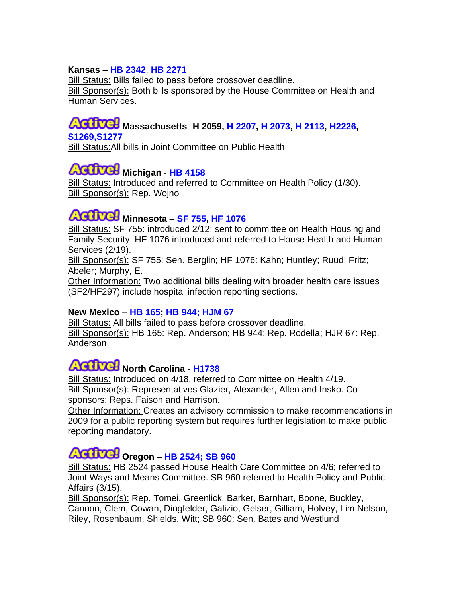#### **Kansas** – **[HB 2342](http://www.kslegislature.org/bills/2008/2342.pdf)**, **[HB 2271](http://www.kslegislature.org/bills/2008/2271.pdf)**

Bill Status: Bills failed to pass before crossover deadline. Bill Sponsor(s): Both bills sponsored by the House Committee on Health and Human Services.

### **Massachusetts**- **H 2059, [H 2207](http://www.mass.gov/legis/bills/house/184/ht02pdf/ht02207.pdf), [H 2073,](http://www.mass.gov/legis/bills/house/184/ht02pdf/ht02273.pdf) [H 2113](http://www.mass.gov/legis/bills/house/184/ht02pdf/ht02113.pdf)[, H2226](http://www.mass.gov/legis/bills/house/184/ht02pdf/ht02226.pdf), [S1269,](http://www.mass.gov/legis/bills/senate/185/st01/st01269.htm)[S1277](http://www.mass.gov/legis/bills/senate/185/st01/st01277.htm)**

**Bill Status: All bills in Joint Committee on Public Health** 

## **Michigan** - **[HB 4158](http://www.legislature.mi.gov/documents/2007-2008/billintroduced/House/htm/2007-HIB-4158.htm)**

Bill Status: Introduced and referred to Committee on Health Policy (1/30). Bill Sponsor(s): Rep. Wojno

## **Minnesota** – **[SF 755](http://www.revisor.leg.state.mn.us/bin/bldbill.php?bill=S0755.0.html&session=ls85), [HF 1076](http://www.revisor.leg.state.mn.us/bin/bldbill.php?bill=H1076.0.html&session=ls85)**

Bill Status: SF 755: introduced 2/12; sent to committee on Health Housing and Family Security; HF 1076 introduced and referred to House Health and Human Services (2/19).

Bill Sponsor(s): SF 755: Sen. Berglin; HF 1076: Kahn; Huntley; Ruud; Fritz; Abeler; Murphy, E.

Other Information: Two additional bills dealing with broader health care issues (SF2/HF297) include hospital infection reporting sections.

### **New Mexico** – **[HB 165;](http://legis.state.nm.us/Sessions/07 Regular/bills/house/HB0165.html) [HB 944;](http://legis.state.nm.us/Sessions/07 Regular/bills/house/HB0944.html) [HJM 67](http://legis.state.nm.us/lcs/_session.asp?chamber=H&type=JM&number=67&year=07)**

**Bill Status:** All bills failed to pass before crossover deadline. Bill Sponsor(s): HB 165: Rep. Anderson; HB 944: Rep. Rodella; HJR 67: Rep. Anderson

### **North Carolina - [H1738](http://www.ncleg.net/Sessions/2007/Bills/House/HTML/H1738v1.html)**

Bill Status: Introduced on 4/18, referred to Committee on Health 4/19. Bill Sponsor(s): Representatives Glazier, Alexander, Allen and Insko. Cosponsors: Reps. Faison and Harrison.

Other Information: Creates an advisory commission to make recommendations in 2009 for a public reporting system but requires further legislation to make public reporting mandatory.

### **Oregon** – **[HB 2524;](http://www.leg.state.or.us/07reg/measures/hb2500.dir/hb2524.a.html) [SB 960](http://www.leg.state.or.us/07reg/measures/sb0900.dir/sb0960.intro.html)**

Bill Status: HB 2524 passed House Health Care Committee on 4/6; referred to Joint Ways and Means Committee. SB 960 referred to Health Policy and Public Affairs (3/15).

Bill Sponsor(s): Rep. Tomei, Greenlick, Barker, Barnhart, Boone, Buckley, Cannon, Clem, Cowan, Dingfelder, Galizio, Gelser, Gilliam, Holvey, Lim Nelson, Riley, Rosenbaum, Shields, Witt; SB 960: Sen. Bates and Westlund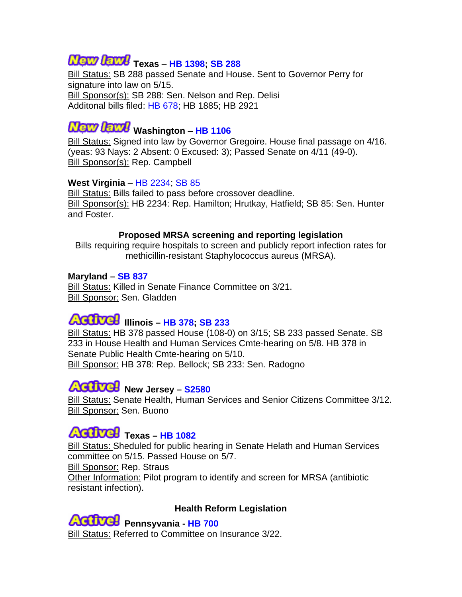# **Texas** – **[HB 1398;](http://www.capitol.state.tx.us/tlodocs/80R/billtext/html/HB01398H.htm) [SB 288](http://www.legis.state.tx.us/tlodocs/80R/billtext/html/SB00288H.htm)**

**Bill Status: SB 288 passed Senate and House. Sent to Governor Perry for** signature into law on 5/15. Bill Sponsor(s): SB 288: Sen. Nelson and Rep. Delisi Additonal bills filed: [HB 678](http://www.legis.state.tx.us/tlodocs/80R/billtext/html/HB00678I.htm); HB 1885; HB 2921

# **Wath Lattle** Washington - [HB 1106](http://www.leg.wa.gov/pub/billinfo/2007-08/Pdf/Bills/House Passed Legislature/1106-S2.PL.pdf)

Bill Status: Signed into law by Governor Gregoire. House final passage on 4/16. (yeas: 93 Nays: 2 Absent: 0 Excused: 3); Passed Senate on 4/11 (49-0). Bill Sponsor(s): Rep. Campbell

#### **West Virginia** – [HB 2234](http://www.legis.state.wv.us/Bill_Text_HTML/2007_SESSIONS/RS/BILLS/hb2234 intr.htm); [SB 85](http://www.legis.state.wv.us/Bill_Text_HTML/2007_SESSIONS/RS/BILLS/sb85 intr.htm)

Bill Status: Bills failed to pass before crossover deadline. Bill Sponsor(s): HB 2234: Rep. Hamilton; Hrutkay, Hatfield; SB 85: Sen. Hunter and Foster.

#### **Proposed MRSA screening and reporting legislation**

Bills requiring require hospitals to screen and publicly report infection rates for methicillin-resistant Staphylococcus aureus (MRSA).

### **Maryland – [SB 837](http://mlis.state.md.us/2007RS/bills/sb/sb0837f.pdf)**

Bill Status: Killed in Senate Finance Committee on 3/21. Bill Sponsor: Sen. Gladden

## **Illinois – [HB 378;](http://www.ilga.gov/legislation/fulltext.asp?DocName=09500HB0378lv&SessionID=51&GA=95&DocTypeID=HB&DocNum=0378&print=true) [SB 233](http://www.ilga.gov/legislation/95/SB/PDF/09500SB0233lv.pdf)**

Bill Status: HB 378 passed House (108-0) on 3/15; SB 233 passed Senate. SB 233 in House Health and Human Services Cmte-hearing on 5/8. HB 378 in Senate Public Health Cmte-hearing on 5/10. Bill Sponsor: HB 378: Rep. Bellock; SB 233: Sen. Radogno

### **New Jersey – [S2580](http://www.njleg.state.nj.us/2006/Bills/S3000/2580_I1.HTM)**

Bill Status: Senate Health, Human Services and Senior Citizens Committee 3/12. Bill Sponsor: Sen. Buono

### **AGUVGH** Texas – [HB 1082](http://www.capitol.state.tx.us/tlodocs/80R/billtext/pdf/HB01082I.pdf)

Bill Status: Sheduled for public hearing in Senate Helath and Human Services committee on 5/15. Passed House on 5/7. Bill Sponsor: Rep. Straus Other Information: Pilot program to identify and screen for MRSA (antibiotic

resistant infection).



#### **Health Reform Legislation**

**Pennsyvania - [HB 700](http://www.gohcr.state.pa.us/prescription-for-pennsylvania/HOUSEBILL700P_N_1011.htm)** Bill Status: Referred to Committee on Insurance 3/22.